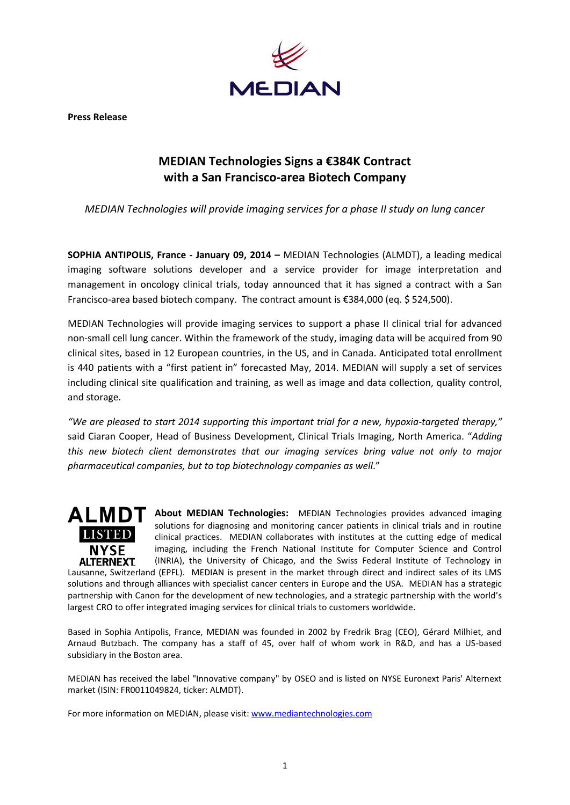

**Press Release**

## **MEDIAN Technologies Signs a €384K Contract with a San Francisco-area Biotech Company**

*MEDIAN Technologies will provide imaging services for a phase II study on lung cancer*

**SOPHIA ANTIPOLIS, France - January 09, 2014 –** MEDIAN Technologies (ALMDT), a leading medical imaging software solutions developer and a service provider for image interpretation and management in oncology clinical trials, today announced that it has signed a contract with a San Francisco-area based biotech company. The contract amount is €384,000 (eq. \$ 524,500).

MEDIAN Technologies will provide imaging services to support a phase II clinical trial for advanced non-small cell lung cancer. Within the framework of the study, imaging data will be acquired from 90 clinical sites, based in 12 European countries, in the US, and in Canada. Anticipated total enrollment is 440 patients with a "first patient in" forecasted May, 2014. MEDIAN will supply a set of services including clinical site qualification and training, as well as image and data collection, quality control, and storage.

*"We are pleased to start 2014 supporting this important trial for a new, hypoxia-targeted therapy,"* said Ciaran Cooper, Head of Business Development, Clinical Trials Imaging, North America. "*Adding this new biotech client demonstrates that our imaging services bring value not only to major pharmaceutical companies, but to top biotechnology companies as well*."



**ALMDT** About MEDIAN Technologies: MEDIAN Technologies provides advanced imaging solutions for diagnosing and monitoring cancer patients in clinical trials and in routine clinical practices. MEDIAN collaborates with institutes at the cutting edge of medical imaging, including the French National Institute for Computer Science and Control (INRIA), the University of Chicago, and the Swiss Federal Institute of Technology in

Lausanne, Switzerland (EPFL). MEDIAN is present in the market through direct and indirect sales of its LMS solutions and through alliances with specialist cancer centers in Europe and the USA. MEDIAN has a strategic partnership with Canon for the development of new technologies, and a strategic partnership with the world's largest CRO to offer integrated imaging services for clinical trials to customers worldwide.

Based in Sophia Antipolis, France, MEDIAN was founded in 2002 by Fredrik Brag (CEO), Gérard Milhiet, and Arnaud Butzbach. The company has a staff of 45, over half of whom work in R&D, and has a US-based subsidiary in the Boston area.

MEDIAN has received the label "Innovative company" by OSEO and is listed on NYSE Euronext Paris' Alternext market (ISIN: FR0011049824, ticker: ALMDT).

For more information on MEDIAN, please visit[: www.mediantechnologies.com](file://median.cad/PROD/INTRANET/Marketing/MARKETING_MATERIAL/Press%20media/AppData/Local/Microsoft/Windows/Users/caroline2012/AppData/Local/Microsoft/Documents%20and%20Settings/emmanuelle/Documents%20and%20Settings/emmanuelle/Local%20Settings/Users/alize8/AppData/Local/Microsoft/Windows/Temporary%20Internet%20Files/Content.Outlook/PBC91ZKI/www.mediantechnologies.com)